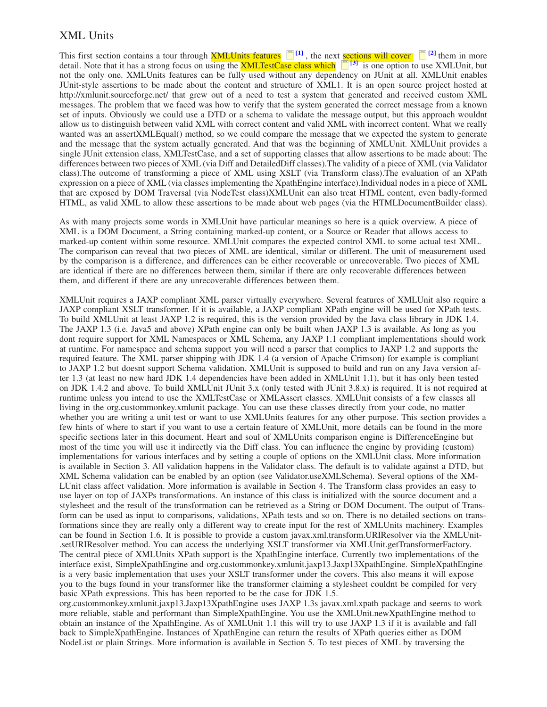## <span id="page-0-0"></span>XML Units

This first section contains a tour through **XMLUnits features**  $\Box$  <sup>[1]</sup>, the next **sections will cover**  $\Box$  <sup>[\[2\]](#page-2-0)</sup> them in more detail. Note that it has a strong focus on using the XMLTestCase class which< **[3]** is one option to use XMLUnit, but not the only one. XMLUnits features can be fully used without any dependency on JUnit at all. XMLUnit enables JUnit-style assertions to be made about the content and structure of XML1. It is an open source project hosted at http://xmlunit.sourceforge.net/ that grew out of a need to test a system that generated and received custom XML messages. The problem that we faced was how to verify that the system generated the correct message from a known set of inputs. Obviously we could use a DTD or a schema to validate the message output, but this approach wouldnt allow us to distinguish between valid XML with correct content and valid XML with incorrect content. What we really wanted was an assertXMLEqual() method, so we could compare the message that we expected the system to generate and the message that the system actually generated. And that was the beginning of XMLUnit. XMLUnit provides a single JUnit extension class, XMLTestCase, and a set of supporting classes that allow assertions to be made about: The differences between two pieces of XML (via Diff and DetailedDiff classes).The validity of a piece of XML (via Validator class).The outcome of transforming a piece of XML using XSLT (via Transform class).The evaluation of an XPath expression on a piece of XML (via classes implementing the XpathEngine interface).Individual nodes in a piece of XML that are exposed by DOM Traversal (via NodeTest class)XMLUnit can also treat HTML content, even badly-formed HTML, as valid XML to allow these assertions to be made about web pages (via the HTMLDocumentBuilder class).

As with many projects some words in XMLUnit have particular meanings so here is a quick overview. A piece of XML is a DOM Document, a String containing marked-up content, or a Source or Reader that allows access to marked-up content within some resource. XMLUnit compares the expected control XML to some actual test XML. The comparison can reveal that two pieces of XML are identical, similar or different. The unit of measurement used by the comparison is a difference, and differences can be either recoverable or unrecoverable. Two pieces of XML are identical if there are no differences between them, similar if there are only recoverable differences between them, and different if there are any unrecoverable differences between them.

XMLUnit requires a JAXP compliant XML parser virtually everywhere. Several features of XMLUnit also require a JAXP compliant XSLT transformer. If it is available, a JAXP compliant XPath engine will be used for XPath tests. To build XMLUnit at least JAXP 1.2 is required, this is the version provided by the Java class library in JDK 1.4. The JAXP 1.3 (i.e. Java5 and above) XPath engine can only be built when JAXP 1.3 is available. As long as you dont require support for XML Namespaces or XML Schema, any JAXP 1.1 compliant implementations should work at runtime. For namespace and schema support you will need a parser that complies to JAXP 1.2 and supports the required feature. The XML parser shipping with JDK 1.4 (a version of Apache Crimson) for example is compliant to JAXP 1.2 but doesnt support Schema validation. XMLUnit is supposed to build and run on any Java version after 1.3 (at least no new hard JDK 1.4 dependencies have been added in XMLUnit 1.1), but it has only been tested on JDK 1.4.2 and above. To build XMLUnit JUnit 3.x (only tested with JUnit 3.8.x) is required. It is not required at runtime unless you intend to use the XMLTestCase or XMLAssert classes. XMLUnit consists of a few classes all living in the org.custommonkey.xmlunit package. You can use these classes directly from your code, no matter whether you are writing a unit test or want to use XMLUnits features for any other purpose. This section provides a few hints of where to start if you want to use a certain feature of XMLUnit, more details can be found in the more specific sections later in this document. Heart and soul of XMLUnits comparison engine is DifferenceEngine but most of the time you will use it indirectly via the Diff class. You can influence the engine by providing (custom) implementations for various interfaces and by setting a couple of options on the XMLUnit class. More information is available in Section 3. All validation happens in the Validator class. The default is to validate against a DTD, but XML Schema validation can be enabled by an option (see Validator.useXMLSchema). Several options of the XM-LUnit class affect validation. More information is available in Section 4. The Transform class provides an easy to use layer on top of JAXPs transformations. An instance of this class is initialized with the source document and a stylesheet and the result of the transformation can be retrieved as a String or DOM Document. The output of Transform can be used as input to comparisons, validations, XPath tests and so on. There is no detailed sections on transformations since they are really only a different way to create input for the rest of XMLUnits machinery. Examples can be found in Section 1.6. It is possible to provide a custom javax.xml.transform.URIResolver via the XMLUnit- .setURIResolver method. You can access the underlying XSLT transformer via XMLUnit.getTransformerFactory. The central piece of XMLUnits XPath support is the XpathEngine interface. Currently two implementations of the interface exist, SimpleXpathEngine and org.custommonkey.xmlunit.jaxp13.Jaxp13XpathEngine. SimpleXpathEngine is a very basic implementation that uses your XSLT transformer under the covers. This also means it will expose you to the bugs found in your transformer like the transformer claiming a stylesheet couldnt be compiled for very basic XPath expressions. This has been reported to be the case for JDK 1.5.

org.custommonkey.xmlunit.jaxp13.Jaxp13XpathEngine uses JAXP 1.3s javax.xml.xpath package and seems to work more reliable, stable and performant than SimpleXpathEngine. You use the XMLUnit.newXpathEngine method to obtain an instance of the XpathEngine. As of XMLUnit 1.1 this will try to use JAXP 1.3 if it is available and fall back to SimpleXpathEngine. Instances of XpathEngine can return the results of XPath queries either as DOM NodeList or plain Strings. More information is available in Section 5. To test pieces of XML by traversing the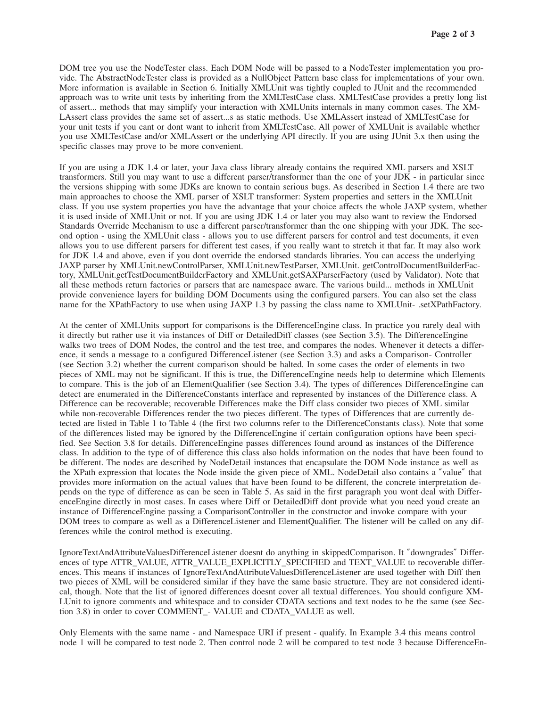DOM tree you use the NodeTester class. Each DOM Node will be passed to a NodeTester implementation you provide. The AbstractNodeTester class is provided as a NullObject Pattern base class for implementations of your own. More information is available in Section 6. Initially XMLUnit was tightly coupled to JUnit and the recommended approach was to write unit tests by inheriting from the XMLTestCase class. XMLTestCase provides a pretty long list of assert... methods that may simplify your interaction with XMLUnits internals in many common cases. The XM-LAssert class provides the same set of assert...s as static methods. Use XMLAssert instead of XMLTestCase for your unit tests if you cant or dont want to inherit from XMLTestCase. All power of XMLUnit is available whether you use XMLTestCase and/or XMLAssert or the underlying API directly. If you are using JUnit 3.x then using the specific classes may prove to be more convenient.

If you are using a JDK 1.4 or later, your Java class library already contains the required XML parsers and XSLT transformers. Still you may want to use a different parser/transformer than the one of your JDK - in particular since the versions shipping with some JDKs are known to contain serious bugs. As described in Section 1.4 there are two main approaches to choose the XML parser of XSLT transformer: System properties and setters in the XMLUnit class. If you use system properties you have the advantage that your choice affects the whole JAXP system, whether it is used inside of XMLUnit or not. If you are using JDK 1.4 or later you may also want to review the Endorsed Standards Override Mechanism to use a different parser/transformer than the one shipping with your JDK. The second option - using the XMLUnit class - allows you to use different parsers for control and test documents, it even allows you to use different parsers for different test cases, if you really want to stretch it that far. It may also work for JDK 1.4 and above, even if you dont override the endorsed standards libraries. You can access the underlying JAXP parser by XMLUnit.newControlParser, XMLUnit.newTestParser, XMLUnit. getControlDocumentBuilderFactory, XMLUnit.getTestDocumentBuilderFactory and XMLUnit.getSAXParserFactory (used by Validator). Note that all these methods return factories or parsers that are namespace aware. The various build... methods in XMLUnit provide convenience layers for building DOM Documents using the configured parsers. You can also set the class name for the XPathFactory to use when using JAXP 1.3 by passing the class name to XMLUnit- .setXPathFactory.

At the center of XMLUnits support for comparisons is the DifferenceEngine class. In practice you rarely deal with it directly but rather use it via instances of Diff or DetailedDiff classes (see Section 3.5). The DifferenceEngine walks two trees of DOM Nodes, the control and the test tree, and compares the nodes. Whenever it detects a difference, it sends a message to a configured DifferenceListener (see Section 3.3) and asks a Comparison- Controller (see Section 3.2) whether the current comparison should be halted. In some cases the order of elements in two pieces of XML may not be significant. If this is true, the DifferenceEngine needs help to determine which Elements to compare. This is the job of an ElementQualifier (see Section 3.4). The types of differences DifferenceEngine can detect are enumerated in the DifferenceConstants interface and represented by instances of the Difference class. A Difference can be recoverable; recoverable Differences make the Diff class consider two pieces of XML similar while non-recoverable Differences render the two pieces different. The types of Differences that are currently detected are listed in Table 1 to Table 4 (the first two columns refer to the DifferenceConstants class). Note that some of the differences listed may be ignored by the DifferenceEngine if certain configuration options have been specified. See Section 3.8 for details. DifferenceEngine passes differences found around as instances of the Difference class. In addition to the type of of difference this class also holds information on the nodes that have been found to be different. The nodes are described by NodeDetail instances that encapsulate the DOM Node instance as well as the XPath expression that locates the Node inside the given piece of XML. NodeDetail also contains a ″value″ that provides more information on the actual values that have been found to be different, the concrete interpretation depends on the type of difference as can be seen in Table 5. As said in the first paragraph you wont deal with DifferenceEngine directly in most cases. In cases where Diff or DetailedDiff dont provide what you need youd create an instance of DifferenceEngine passing a ComparisonController in the constructor and invoke compare with your DOM trees to compare as well as a DifferenceListener and ElementQualifier. The listener will be called on any differences while the control method is executing.

IgnoreTextAndAttributeValuesDifferenceListener doesnt do anything in skippedComparison. It ″downgrades″ Differences of type ATTR\_VALUE, ATTR\_VALUE\_EXPLICITLY\_SPECIFIED and TEXT\_VALUE to recoverable differences. This means if instances of IgnoreTextAndAttributeValuesDifferenceListener are used together with Diff then two pieces of XML will be considered similar if they have the same basic structure. They are not considered identical, though. Note that the list of ignored differences doesnt cover all textual differences. You should configure XM-LUnit to ignore comments and whitespace and to consider CDATA sections and text nodes to be the same (see Section 3.8) in order to cover COMMENT\_- VALUE and CDATA\_VALUE as well.

Only Elements with the same name - and Namespace URI if present - qualify. In Example 3.4 this means control node 1 will be compared to test node 2. Then control node 2 will be compared to test node 3 because DifferenceEn